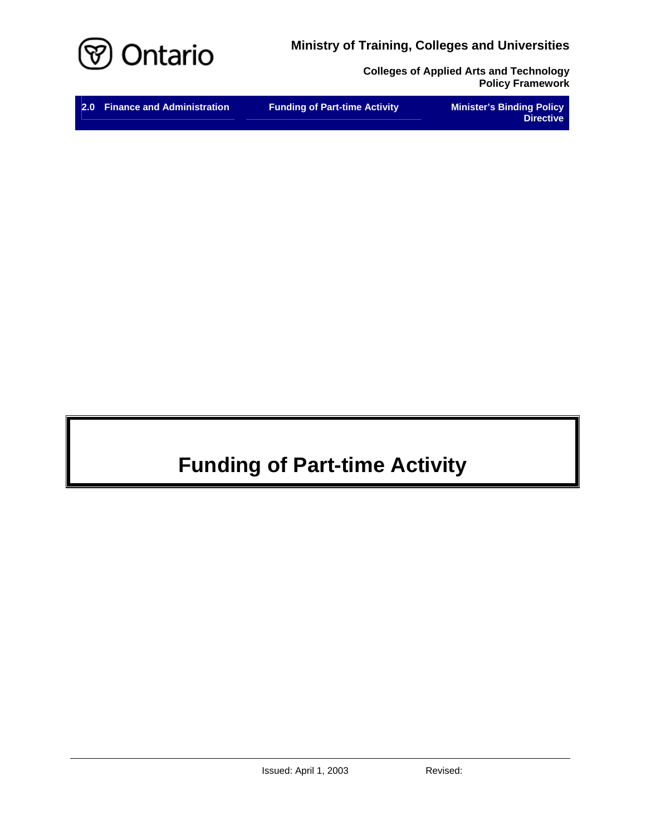**Ministry of Training, Colleges and Universities** 



**Colleges of Applied Arts and Technology Policy Framework** 

| 2.0 Finance and Administration       | <b>Minister's Binding Policy</b> |
|--------------------------------------|----------------------------------|
| <b>Funding of Part-time Activity</b> | <b>Directive</b>                 |

# **Funding of Part-time Activity**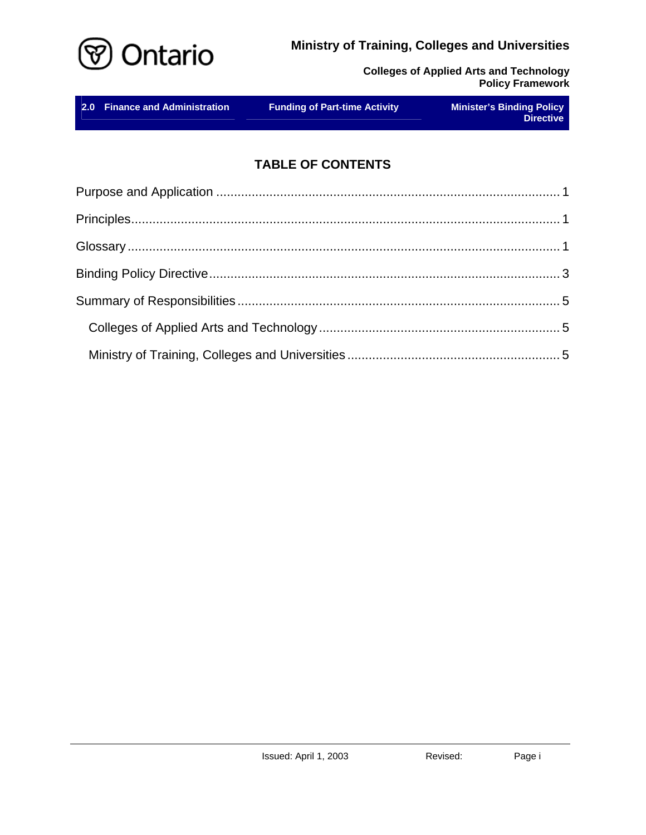



|  | 2.0 Finance and Administration | <b>Funding of Part-time Activity</b> | <b>Minister's Binding Policy</b><br><b>Directive</b> |
|--|--------------------------------|--------------------------------------|------------------------------------------------------|
|--|--------------------------------|--------------------------------------|------------------------------------------------------|

# **TABLE OF CONTENTS**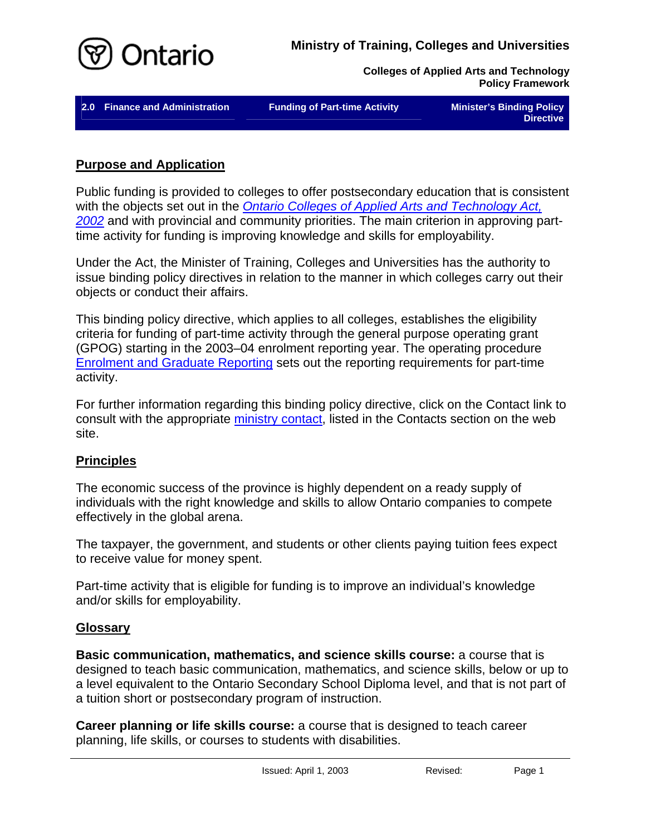<span id="page-2-0"></span>

2.0 Finance and Administration **Funding of Part-time Activity** Minister's Binding Policy

**Directive** 

#### **Purpose and Application**

Public funding is provided to colleges to offer postsecondary education that is consistent with the objects set out in the *[Ontario Colleges of Applied Arts and Technology Act,](http://www.e-laws.gov.on.ca/html/statutes/english/elaws_statutes_02o08f_e.htm)  [2002](http://www.e-laws.gov.on.ca/html/statutes/english/elaws_statutes_02o08f_e.htm)* and with provincial and community priorities. The main criterion in approving parttime activity for funding is improving knowledge and skills for employability.

Under the Act, the Minister of Training, Colleges and Universities has the authority to issue binding policy directives in relation to the manner in which colleges carry out their objects or conduct their affairs.

This binding policy directive, which applies to all colleges, establishes the eligibility criteria for funding of part-time activity through the general purpose operating grant (GPOG) starting in the 2003–04 enrolment reporting year. The operating procedure [Enrolment and Graduate Reporting](http://caat.edu.gov.on.ca/HTMLpages/Finance_Eng.html#Enrolment_and_Grad_Reporting) sets out the reporting requirements for part-time activity.

For further information regarding this binding policy directive, click on the Contact link to consult with the appropriate [ministry contact,](http://caat.edu.gov.on.ca/HTMLpages/Contacts_Eng.html#Funding_of_PartTime) listed in the Contacts section on the web site.

# **Principles**

The economic success of the province is highly dependent on a ready supply of individuals with the right knowledge and skills to allow Ontario companies to compete effectively in the global arena.

The taxpayer, the government, and students or other clients paying tuition fees expect to receive value for money spent.

Part-time activity that is eligible for funding is to improve an individual's knowledge and/or skills for employability.

#### **Glossary**

**Basic communication, mathematics, and science skills course:** a course that is designed to teach basic communication, mathematics, and science skills, below or up to a level equivalent to the Ontario Secondary School Diploma level, and that is not part of a tuition short or postsecondary program of instruction.

**Career planning or life skills course:** a course that is designed to teach career planning, life skills, or courses to students with disabilities.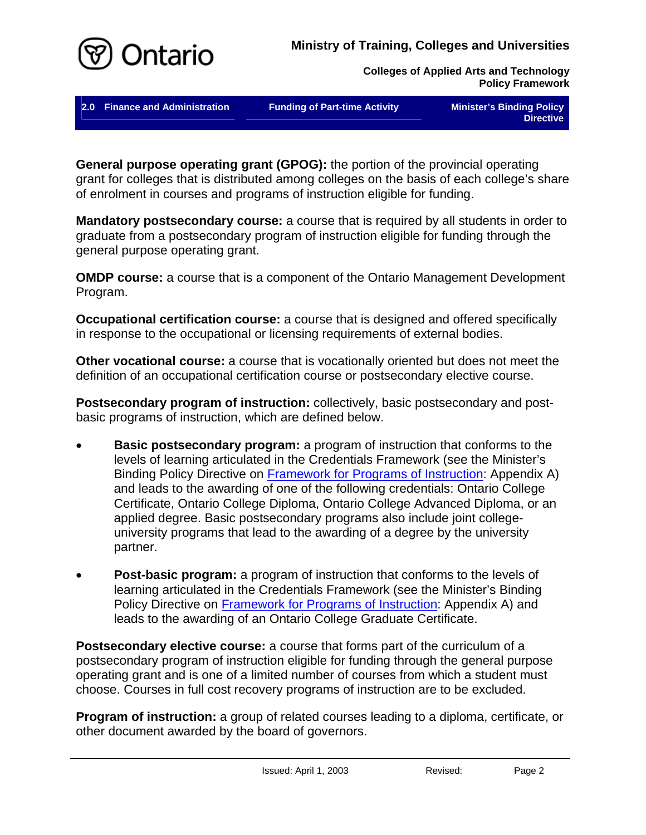

**2.0 Finance and Administration Funding of Part-time Activity Minister's Binding Policy** 

**Directive** 

**General purpose operating grant (GPOG):** the portion of the provincial operating grant for colleges that is distributed among colleges on the basis of each college's share of enrolment in courses and programs of instruction eligible for funding.

**Mandatory postsecondary course:** a course that is required by all students in order to graduate from a postsecondary program of instruction eligible for funding through the general purpose operating grant.

**OMDP course:** a course that is a component of the Ontario Management Development Program.

**Occupational certification course:** a course that is designed and offered specifically in response to the occupational or licensing requirements of external bodies.

**Other vocational course:** a course that is vocationally oriented but does not meet the definition of an occupational certification course or postsecondary elective course.

**Postsecondary program of instruction:** collectively, basic postsecondary and postbasic programs of instruction, which are defined below.

- **Basic postsecondary program:** a program of instruction that conforms to the levels of learning articulated in the Credentials Framework (see the Minister's Binding Policy Directive on [Framework for Programs of Instruction](http://caat.edu.gov.on.ca/HTMLpages/Programs_Eng.html#Program_Framework): Appendix A) and leads to the awarding of one of the following credentials: Ontario College Certificate, Ontario College Diploma, Ontario College Advanced Diploma, or an applied degree. Basic postsecondary programs also include joint collegeuniversity programs that lead to the awarding of a degree by the university partner.
- **Post-basic program:** a program of instruction that conforms to the levels of learning articulated in the Credentials Framework (see the Minister's Binding Policy Directive on [Framework for Programs of Instruction:](http://caat.edu.gov.on.ca/HTMLpages/Programs_Eng.html#Program_Framework) Appendix A) and leads to the awarding of an Ontario College Graduate Certificate.

**Postsecondary elective course:** a course that forms part of the curriculum of a postsecondary program of instruction eligible for funding through the general purpose operating grant and is one of a limited number of courses from which a student must choose. Courses in full cost recovery programs of instruction are to be excluded.

**Program of instruction:** a group of related courses leading to a diploma, certificate, or other document awarded by the board of governors.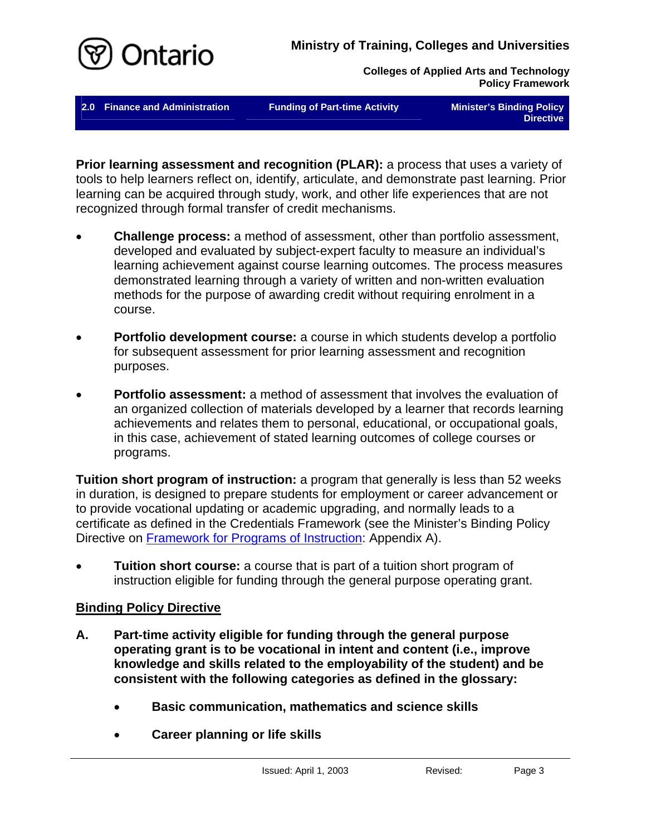<span id="page-4-0"></span>

**2.0 Finance and Administration Funding of Part-time Activity Minister's Binding Policy** 

**Directive** 

**Prior learning assessment and recognition (PLAR):** a process that uses a variety of tools to help learners reflect on, identify, articulate, and demonstrate past learning. Prior learning can be acquired through study, work, and other life experiences that are not recognized through formal transfer of credit mechanisms.

- **Challenge process:** a method of assessment, other than portfolio assessment, developed and evaluated by subject-expert faculty to measure an individual's learning achievement against course learning outcomes. The process measures demonstrated learning through a variety of written and non-written evaluation methods for the purpose of awarding credit without requiring enrolment in a course.
- **Portfolio development course:** a course in which students develop a portfolio for subsequent assessment for prior learning assessment and recognition purposes.
- **Portfolio assessment:** a method of assessment that involves the evaluation of an organized collection of materials developed by a learner that records learning achievements and relates them to personal, educational, or occupational goals, in this case, achievement of stated learning outcomes of college courses or programs.

**Tuition short program of instruction:** a program that generally is less than 52 weeks in duration, is designed to prepare students for employment or career advancement or to provide vocational updating or academic upgrading, and normally leads to a certificate as defined in the Credentials Framework (see the Minister's Binding Policy Directive on [Framework for Programs of Instruction](http://caat.edu.gov.on.ca/HTMLpages/Programs_Eng.html#Program_Framework): Appendix A).

• **Tuition short course:** a course that is part of a tuition short program of instruction eligible for funding through the general purpose operating grant.

# **Binding Policy Directive**

- **A. Part-time activity eligible for funding through the general purpose operating grant is to be vocational in intent and content (i.e., improve knowledge and skills related to the employability of the student) and be consistent with the following categories as defined in the glossary:** 
	- **Basic communication, mathematics and science skills**
	- **Career planning or life skills**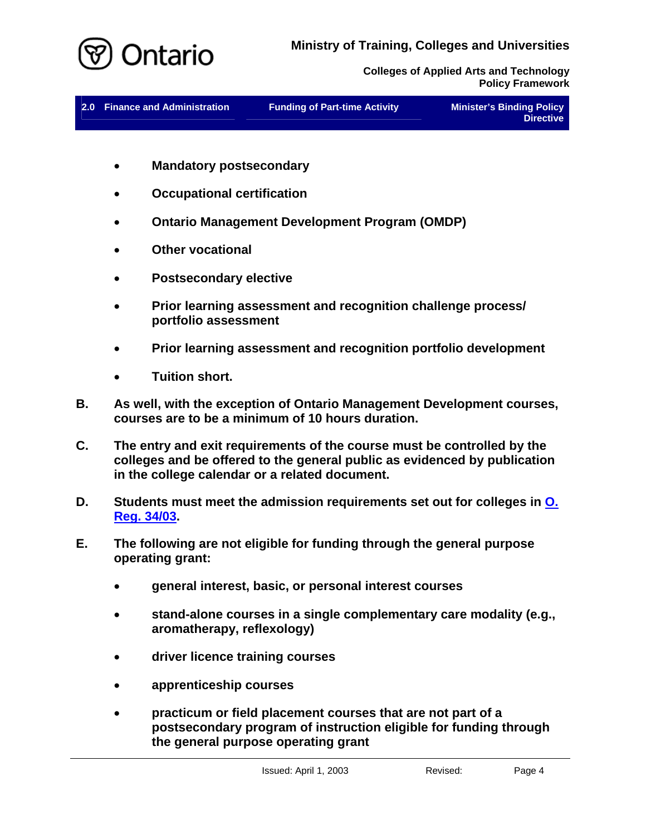

| 2.0 Finance and Administration | <b>Funding of Part-time Activity</b> | Minister's Binding Policy |
|--------------------------------|--------------------------------------|---------------------------|
|                                |                                      | <b>Directive</b>          |

- **Mandatory postsecondary**
- **Occupational certification**
- **Ontario Management Development Program (OMDP)**
- **Other vocational**
- **Postsecondary elective**
- **Prior learning assessment and recognition challenge process/ portfolio assessment**
- **Prior learning assessment and recognition portfolio development**
- **Tuition short.**
- **B. As well, with the exception of Ontario Management Development courses, courses are to be a minimum of 10 hours duration.**
- **C. The entry and exit requirements of the course must be controlled by the colleges and be offered to the general public as evidenced by publication in the college calendar or a related document.**
- **D. Students must meet the admission requirements set out for colleges in [O.](http://www.e-laws.gov.on.ca/html/regs/english/elaws_regs_030034_e.htm)  [Reg. 34/03](http://www.e-laws.gov.on.ca/html/regs/english/elaws_regs_030034_e.htm).**
- **E. The following are not eligible for funding through the general purpose operating grant:** 
	- **general interest, basic, or personal interest courses**
	- **stand-alone courses in a single complementary care modality (e.g., aromatherapy, reflexology)**
	- **driver licence training courses**
	- **apprenticeship courses**
	- **practicum or field placement courses that are not part of a postsecondary program of instruction eligible for funding through the general purpose operating grant**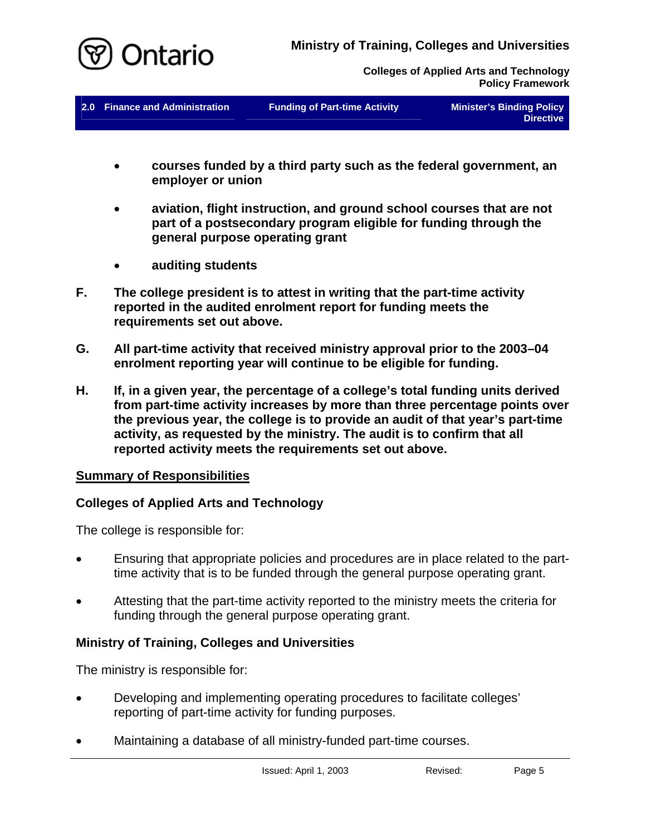<span id="page-6-0"></span>

**2.0 Finance and Administration Funding of Part-time Activity Minister's Binding Policy** 

**Directive** 

- **courses funded by a third party such as the federal government, an employer or union**
- **aviation, flight instruction, and ground school courses that are not part of a postsecondary program eligible for funding through the general purpose operating grant**
- **auditing students**
- **F. The college president is to attest in writing that the part-time activity reported in the audited enrolment report for funding meets the requirements set out above.**
- **G. All part-time activity that received ministry approval prior to the 2003–04 enrolment reporting year will continue to be eligible for funding.**
- **H. If, in a given year, the percentage of a college's total funding units derived from part-time activity increases by more than three percentage points over the previous year, the college is to provide an audit of that year's part-time activity, as requested by the ministry. The audit is to confirm that all reported activity meets the requirements set out above.**

#### **Summary of Responsibilities**

#### **Colleges of Applied Arts and Technology**

The college is responsible for:

- Ensuring that appropriate policies and procedures are in place related to the parttime activity that is to be funded through the general purpose operating grant.
- Attesting that the part-time activity reported to the ministry meets the criteria for funding through the general purpose operating grant.

# **Ministry of Training, Colleges and Universities**

The ministry is responsible for:

- Developing and implementing operating procedures to facilitate colleges' reporting of part-time activity for funding purposes.
- Maintaining a database of all ministry-funded part-time courses.